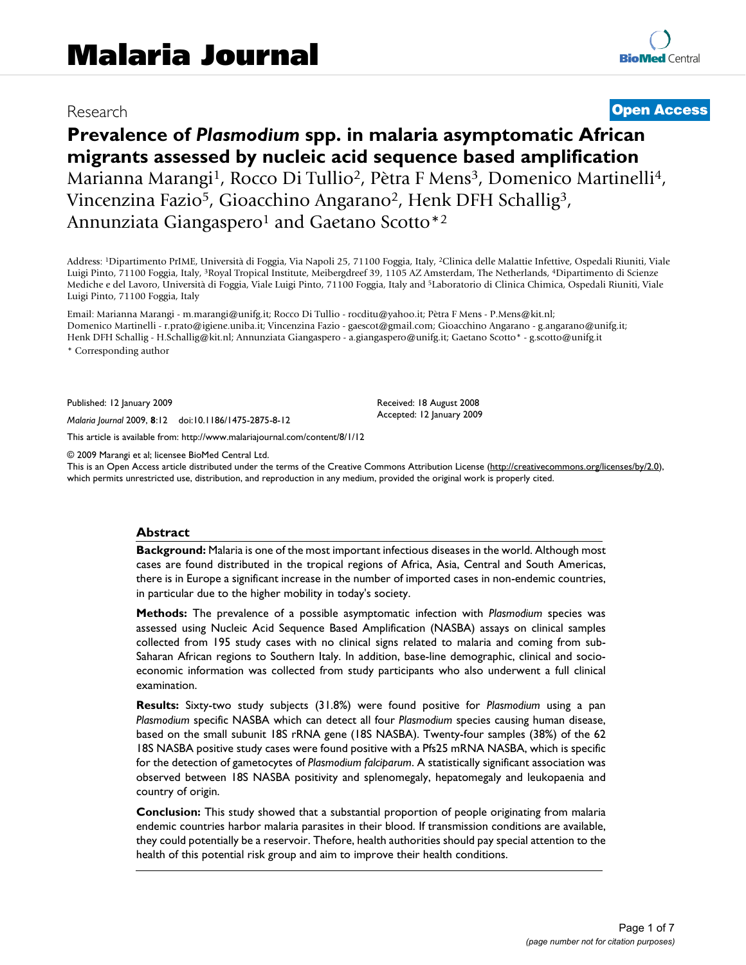## Research **[Open Access](http://www.biomedcentral.com/info/about/charter/)**

# **Prevalence of** *Plasmodium* **spp. in malaria asymptomatic African migrants assessed by nucleic acid sequence based amplification** Marianna Marangi<sup>1</sup>, Rocco Di Tullio<sup>2</sup>, Pètra F Mens<sup>3</sup>, Domenico Martinelli<sup>4</sup>, Vincenzina Fazio5, Gioacchino Angarano2, Henk DFH Schallig3, Annunziata Giangaspero<sup>1</sup> and Gaetano Scotto<sup>\*2</sup>

Address: 1Dipartimento PrIME, Università di Foggia, Via Napoli 25, 71100 Foggia, Italy, 2Clinica delle Malattie Infettive, Ospedali Riuniti, Viale Luigi Pinto, 71100 Foggia, Italy, 3Royal Tropical Institute, Meibergdreef 39, 1105 AZ Amsterdam, The Netherlands, 4Dipartimento di Scienze Mediche e del Lavoro, Università di Foggia, Viale Luigi Pinto, 71100 Foggia, Italy and 5Laboratorio di Clinica Chimica, Ospedali Riuniti, Viale Luigi Pinto, 71100 Foggia, Italy

Email: Marianna Marangi - m.marangi@unifg.it; Rocco Di Tullio - rocditu@yahoo.it; Pètra F Mens - P.Mens@kit.nl; Domenico Martinelli - r.prato@igiene.uniba.it; Vincenzina Fazio - gaescot@gmail.com; Gioacchino Angarano - g.angarano@unifg.it; Henk DFH Schallig - H.Schallig@kit.nl; Annunziata Giangaspero - a.giangaspero@unifg.it; Gaetano Scotto\* - g.scotto@unifg.it \* Corresponding author

Published: 12 January 2009

*Malaria Journal* 2009, **8**:12 doi:10.1186/1475-2875-8-12

[This article is available from: http://www.malariajournal.com/content/8/1/12](http://www.malariajournal.com/content/8/1/12)

© 2009 Marangi et al; licensee BioMed Central Ltd.

This is an Open Access article distributed under the terms of the Creative Commons Attribution License [\(http://creativecommons.org/licenses/by/2.0\)](http://creativecommons.org/licenses/by/2.0), which permits unrestricted use, distribution, and reproduction in any medium, provided the original work is properly cited.

Received: 18 August 2008 Accepted: 12 January 2009

#### **Abstract**

**Background:** Malaria is one of the most important infectious diseases in the world. Although most cases are found distributed in the tropical regions of Africa, Asia, Central and South Americas, there is in Europe a significant increase in the number of imported cases in non-endemic countries, in particular due to the higher mobility in today's society.

**Methods:** The prevalence of a possible asymptomatic infection with *Plasmodium* species was assessed using Nucleic Acid Sequence Based Amplification (NASBA) assays on clinical samples collected from 195 study cases with no clinical signs related to malaria and coming from sub-Saharan African regions to Southern Italy. In addition, base-line demographic, clinical and socioeconomic information was collected from study participants who also underwent a full clinical examination.

**Results:** Sixty-two study subjects (31.8%) were found positive for *Plasmodium* using a pan *Plasmodium* specific NASBA which can detect all four *Plasmodium* species causing human disease, based on the small subunit 18S rRNA gene (18S NASBA). Twenty-four samples (38%) of the 62 18S NASBA positive study cases were found positive with a Pfs25 mRNA NASBA, which is specific for the detection of gametocytes of *Plasmodium falciparum*. A statistically significant association was observed between 18S NASBA positivity and splenomegaly, hepatomegaly and leukopaenia and country of origin.

**Conclusion:** This study showed that a substantial proportion of people originating from malaria endemic countries harbor malaria parasites in their blood. If transmission conditions are available, they could potentially be a reservoir. Thefore, health authorities should pay special attention to the health of this potential risk group and aim to improve their health conditions.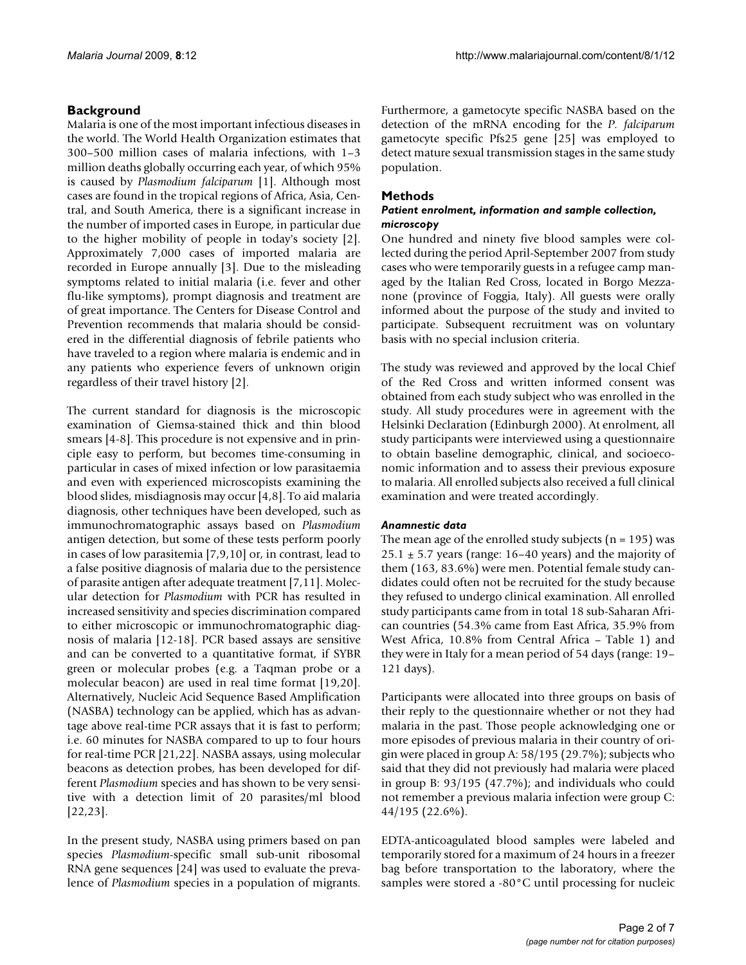#### **Background**

Malaria is one of the most important infectious diseases in the world. The World Health Organization estimates that 300–500 million cases of malaria infections, with 1–3 million deaths globally occurring each year, of which 95% is caused by *Plasmodium falciparum* [1]. Although most cases are found in the tropical regions of Africa, Asia, Central, and South America, there is a significant increase in the number of imported cases in Europe, in particular due to the higher mobility of people in today's society [2]. Approximately 7,000 cases of imported malaria are recorded in Europe annually [3]. Due to the misleading symptoms related to initial malaria (i.e. fever and other flu-like symptoms), prompt diagnosis and treatment are of great importance. The Centers for Disease Control and Prevention recommends that malaria should be considered in the differential diagnosis of febrile patients who have traveled to a region where malaria is endemic and in any patients who experience fevers of unknown origin regardless of their travel history [2].

The current standard for diagnosis is the microscopic examination of Giemsa-stained thick and thin blood smears [4-8]. This procedure is not expensive and in principle easy to perform, but becomes time-consuming in particular in cases of mixed infection or low parasitaemia and even with experienced microscopists examining the blood slides, misdiagnosis may occur [4,8]. To aid malaria diagnosis, other techniques have been developed, such as immunochromatographic assays based on *Plasmodium* antigen detection, but some of these tests perform poorly in cases of low parasitemia [7,9,10] or, in contrast, lead to a false positive diagnosis of malaria due to the persistence of parasite antigen after adequate treatment [7,11]. Molecular detection for *Plasmodium* with PCR has resulted in increased sensitivity and species discrimination compared to either microscopic or immunochromatographic diagnosis of malaria [[12](#page-5-0)-18]. PCR based assays are sensitive and can be converted to a quantitative format, if SYBR green or molecular probes (e.g. a Taqman probe or a molecular beacon) are used in real time format [19,20]. Alternatively, Nucleic Acid Sequence Based Amplification (NASBA) technology can be applied, which has as advantage above real-time PCR assays that it is fast to perform; i.e. 60 minutes for NASBA compared to up to four hours for real-time PCR [21,22]. NASBA assays, using molecular beacons as detection probes, has been developed for different *Plasmodium* species and has shown to be very sensitive with a detection limit of 20 parasites/ml blood [22,23].

In the present study, NASBA using primers based on pan species *Plasmodium*-specific small sub-unit ribosomal RNA gene sequences [24] was used to evaluate the prevalence of *Plasmodium* species in a population of migrants.

Furthermore, a gametocyte specific NASBA based on the detection of the mRNA encoding for the *P. falciparum* gametocyte specific Pfs25 gene [25] was employed to detect mature sexual transmission stages in the same study population.

#### **Methods**

#### *Patient enrolment, information and sample collection, microscopy*

One hundred and ninety five blood samples were collected during the period April-September 2007 from study cases who were temporarily guests in a refugee camp managed by the Italian Red Cross, located in Borgo Mezzanone (province of Foggia, Italy). All guests were orally informed about the purpose of the study and invited to participate. Subsequent recruitment was on voluntary basis with no special inclusion criteria.

The study was reviewed and approved by the local Chief of the Red Cross and written informed consent was obtained from each study subject who was enrolled in the study. All study procedures were in agreement with the Helsinki Declaration (Edinburgh 2000). At enrolment, all study participants were interviewed using a questionnaire to obtain baseline demographic, clinical, and socioeconomic information and to assess their previous exposure to malaria. All enrolled subjects also received a full clinical examination and were treated accordingly.

#### *Anamnestic data*

The mean age of the enrolled study subjects ( $n = 195$ ) was  $25.1 \pm 5.7$  years (range: 16–40 years) and the majority of them (163, 83.6%) were men. Potential female study candidates could often not be recruited for the study because they refused to undergo clinical examination. All enrolled study participants came from in total 18 sub-Saharan African countries (54.3% came from East Africa, 35.9% from West Africa, 10.8% from Central Africa – Table 1) and they were in Italy for a mean period of 54 days (range: 19– 121 days).

Participants were allocated into three groups on basis of their reply to the questionnaire whether or not they had malaria in the past. Those people acknowledging one or more episodes of previous malaria in their country of origin were placed in group A: 58/195 (29.7%); subjects who said that they did not previously had malaria were placed in group B: 93/195 (47.7%); and individuals who could not remember a previous malaria infection were group C: 44/195 (22.6%).

EDTA-anticoagulated blood samples were labeled and temporarily stored for a maximum of 24 hours in a freezer bag before transportation to the laboratory, where the samples were stored a -80°C until processing for nucleic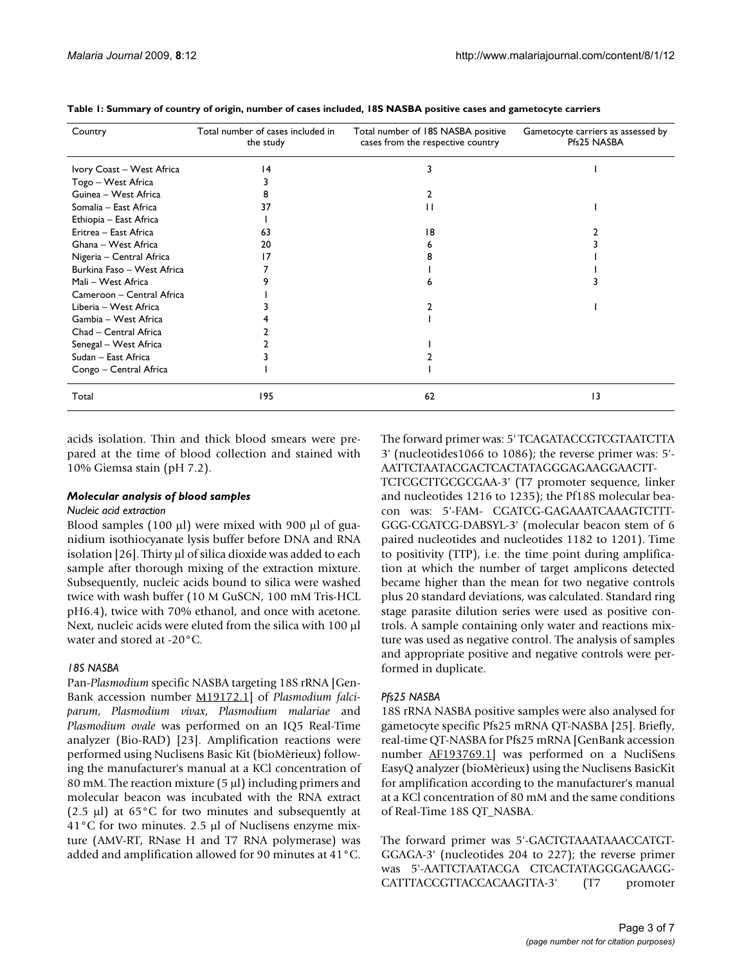| Country                    | Total number of cases included in<br>the study | Total number of 18S NASBA positive<br>cases from the respective country | Gametocyte carriers as assessed by<br>Pfs25 NASBA |
|----------------------------|------------------------------------------------|-------------------------------------------------------------------------|---------------------------------------------------|
| Ivory Coast - West Africa  | $\overline{14}$                                | 3                                                                       |                                                   |
| Togo – West Africa         |                                                |                                                                         |                                                   |
| Guinea - West Africa       |                                                |                                                                         |                                                   |
| Somalia - East Africa      | 37                                             |                                                                         |                                                   |
| Ethiopia - East Africa     |                                                |                                                                         |                                                   |
| Eritrea - East Africa      | 63                                             | 18                                                                      |                                                   |
| Ghana - West Africa        | 20                                             |                                                                         |                                                   |
| Nigeria - Central Africa   |                                                |                                                                         |                                                   |
| Burkina Faso - West Africa |                                                |                                                                         |                                                   |
| Mali - West Africa         |                                                | ь                                                                       |                                                   |
| Cameroon - Central Africa  |                                                |                                                                         |                                                   |
| Liberia - West Africa      |                                                |                                                                         |                                                   |
| Gambia - West Africa       |                                                |                                                                         |                                                   |
| Chad - Central Africa      |                                                |                                                                         |                                                   |
| Senegal - West Africa      |                                                |                                                                         |                                                   |
| Sudan – East Africa        |                                                |                                                                         |                                                   |
| Congo - Central Africa     |                                                |                                                                         |                                                   |
| Total                      | 195                                            | 62                                                                      | $\overline{13}$                                   |

**Table 1: Summary of country of origin, number of cases included, 18S NASBA positive cases and gametocyte carriers**

acids isolation. Thin and thick blood smears were prepared at the time of blood collection and stained with 10% Giemsa stain (pH 7.2).

#### *Molecular analysis of blood samples*

#### *Nucleic acid extraction*

Blood samples (100 μl) were mixed with 900 μl of guanidium isothiocyanate lysis buffer before DNA and RNA isolation [26]. Thirty μl of silica dioxide was added to each sample after thorough mixing of the extraction mixture. Subsequently, nucleic acids bound to silica were washed twice with wash buffer (10 M GuSCN, 100 mM Tris-HCL pH6.4), twice with 70% ethanol, and once with acetone. Next, nucleic acids were eluted from the silica with 100 μl water and stored at -20°C.

#### *18S NASBA*

Pan-*Plasmodium* specific NASBA targeting 18S rRNA [Gen-Bank accession number [M19172.1](http://www.ncbi.nih.gov/entrez/query.fcgi?db=Nucleotide&cmd=search&term=M19172.1)] of *Plasmodium falciparum*, *Plasmodium vivax*, *Plasmodium malariae* and *Plasmodium ovale* was performed on an IQ5 Real-Time analyzer (Bio-RAD) [23]. Amplification reactions were performed using Nuclisens Basic Kit (bioMèrieux) following the manufacturer's manual at a KCl concentration of 80 mM. The reaction mixture (5 μl) including primers and molecular beacon was incubated with the RNA extract (2.5 μl) at 65°C for two minutes and subsequently at 41°C for two minutes. 2.5 μl of Nuclisens enzyme mixture (AMV-RT, RNase H and T7 RNA polymerase) was added and amplification allowed for 90 minutes at 41°C.

The forward primer was: 5' TCAGATACCGTCGTAATCTTA 3' (nucleotides1066 to 1086); the reverse primer was: 5'- AATTCTAATACGACTCACTATAGGGAGAAGGAACTT-TCTCGCTTGCGCGAA-3' (T7 promoter sequence, linker and nucleotides 1216 to 1235); the Pf18S molecular beacon was: 5'-FAM- CGATCG-GAGAAATCAAAGTCTTT-GGG-CGATCG-DABSYL-3' (molecular beacon stem of 6 paired nucleotides and nucleotides 1182 to 1201). Time to positivity (TTP), i.e. the time point during amplification at which the number of target amplicons detected became higher than the mean for two negative controls plus 20 standard deviations, was calculated. Standard ring stage parasite dilution series were used as positive controls. A sample containing only water and reactions mixture was used as negative control. The analysis of samples and appropriate positive and negative controls were performed in duplicate.

#### *Pfs25 NASBA*

18S rRNA NASBA positive samples were also analysed for gametocyte specific Pfs25 mRNA QT-NASBA [25]. Briefly, real-time QT-NASBA for Pfs25 mRNA [GenBank accession number [AF193769.1\]](http://www.ncbi.nih.gov/entrez/query.fcgi?db=Nucleotide&cmd=search&term=AF193769.1) was performed on a NucliSens EasyQ analyzer (bioMèrieux) using the Nuclisens BasicKit for amplification according to the manufacturer's manual at a KCl concentration of 80 mM and the same conditions of Real-Time 18S QT\_NASBA.

The forward primer was 5'-GACTGTAAATAAACCATGT-GGAGA-3' (nucleotides 204 to 227); the reverse primer was 5'-AATTCTAATACGA CTCACTATAGGGAGAAGG-CATTTACCGTTACCACAAGTTA-3' (T7 promoter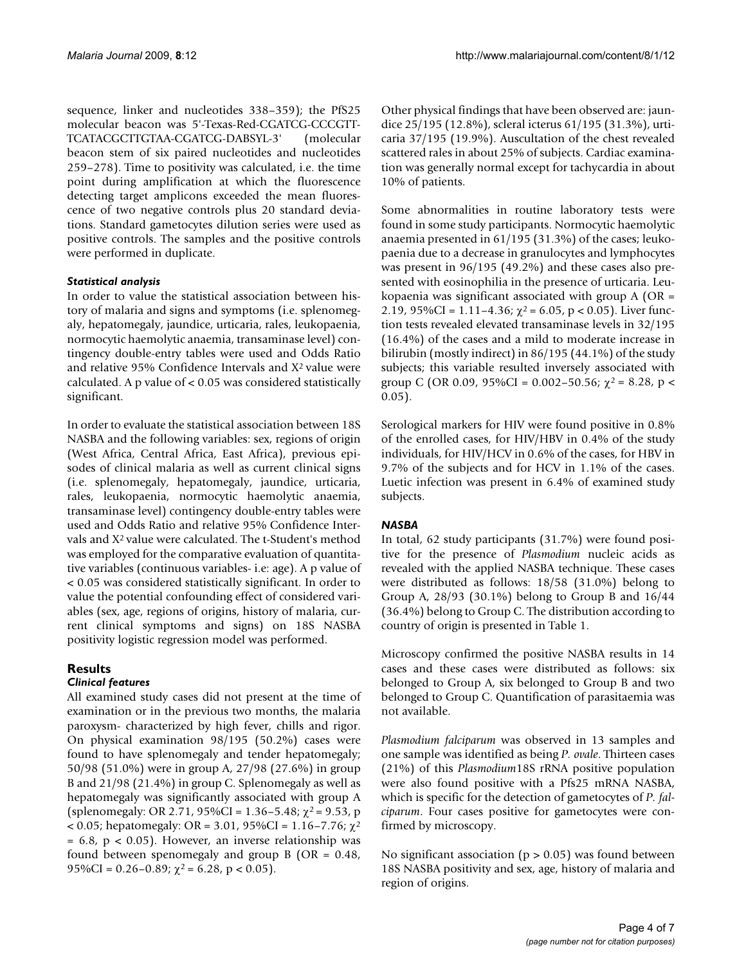sequence, linker and nucleotides 338–359); the PfS25 molecular beacon was 5'-Texas-Red-CGATCG-CCCGTT-TCATACGCTTGTAA-CGATCG-DABSYL-3' (molecular beacon stem of six paired nucleotides and nucleotides 259–278). Time to positivity was calculated, i.e. the time point during amplification at which the fluorescence detecting target amplicons exceeded the mean fluorescence of two negative controls plus 20 standard deviations. Standard gametocytes dilution series were used as positive controls. The samples and the positive controls were performed in duplicate.

#### *Statistical analysis*

In order to value the statistical association between history of malaria and signs and symptoms (i.e. splenomegaly, hepatomegaly, jaundice, urticaria, rales, leukopaenia, normocytic haemolytic anaemia, transaminase level) contingency double-entry tables were used and Odds Ratio and relative 95% Confidence Intervals and X2 value were calculated. A p value of < 0.05 was considered statistically significant.

In order to evaluate the statistical association between 18S NASBA and the following variables: sex, regions of origin (West Africa, Central Africa, East Africa), previous episodes of clinical malaria as well as current clinical signs (i.e. splenomegaly, hepatomegaly, jaundice, urticaria, rales, leukopaenia, normocytic haemolytic anaemia, transaminase level) contingency double-entry tables were used and Odds Ratio and relative 95% Confidence Intervals and X2 value were calculated. The t-Student's method was employed for the comparative evaluation of quantitative variables (continuous variables- i.e: age). A p value of < 0.05 was considered statistically significant. In order to value the potential confounding effect of considered variables (sex, age, regions of origins, history of malaria, current clinical symptoms and signs) on 18S NASBA positivity logistic regression model was performed.

#### **Results**

#### *Clinical features*

All examined study cases did not present at the time of examination or in the previous two months, the malaria paroxysm- characterized by high fever, chills and rigor. On physical examination 98/195 (50.2%) cases were found to have splenomegaly and tender hepatomegaly; 50/98 (51.0%) were in group A, 27/98 (27.6%) in group B and 21/98 (21.4%) in group C. Splenomegaly as well as hepatomegaly was significantly associated with group A (splenomegaly: OR 2.71, 95%CI = 1.36–5.48;  $\chi^2$  = 9.53, p < 0.05; hepatomegaly: OR = 3.01, 95%CI = 1.16–7.76;  $\chi^2$  $= 6.8$ ,  $p < 0.05$ ). However, an inverse relationship was found between spenomegaly and group  $B$  (OR = 0.48, 95%CI = 0.26–0.89;  $\chi^2$  = 6.28, p < 0.05).

Other physical findings that have been observed are: jaundice 25/195 (12.8%), scleral icterus 61/195 (31.3%), urticaria 37/195 (19.9%). Auscultation of the chest revealed scattered rales in about 25% of subjects. Cardiac examination was generally normal except for tachycardia in about 10% of patients.

Some abnormalities in routine laboratory tests were found in some study participants. Normocytic haemolytic anaemia presented in 61/195 (31.3%) of the cases; leukopaenia due to a decrease in granulocytes and lymphocytes was present in 96/195 (49.2%) and these cases also presented with eosinophilia in the presence of urticaria. Leukopaenia was significant associated with group A (OR = 2.19, 95%CI = 1.11-4.36;  $\chi^2$  = 6.05, p < 0.05). Liver function tests revealed elevated transaminase levels in 32/195 (16.4%) of the cases and a mild to moderate increase in bilirubin (mostly indirect) in 86/195 (44.1%) of the study subjects; this variable resulted inversely associated with group C (OR 0.09, 95%CI = 0.002–50.56;  $\chi^2$  = 8.28, p < 0.05).

Serological markers for HIV were found positive in 0.8% of the enrolled cases, for HIV/HBV in 0.4% of the study individuals, for HIV/HCV in 0.6% of the cases, for HBV in 9.7% of the subjects and for HCV in 1.1% of the cases. Luetic infection was present in 6.4% of examined study subjects.

#### *NASBA*

In total, 62 study participants (31.7%) were found positive for the presence of *Plasmodium* nucleic acids as revealed with the applied NASBA technique. These cases were distributed as follows: 18/58 (31.0%) belong to Group A, 28/93 (30.1%) belong to Group B and 16/44 (36.4%) belong to Group C. The distribution according to country of origin is presented in Table 1.

Microscopy confirmed the positive NASBA results in 14 cases and these cases were distributed as follows: six belonged to Group A, six belonged to Group B and two belonged to Group C. Quantification of parasitaemia was not available.

*Plasmodium falciparum* was observed in 13 samples and one sample was identified as being *P. ovale*. Thirteen cases (21%) of this *Plasmodium*18S rRNA positive population were also found positive with a Pfs25 mRNA NASBA, which is specific for the detection of gametocytes of *P. falciparum*. Four cases positive for gametocytes were confirmed by microscopy.

No significant association ( $p > 0.05$ ) was found between 18S NASBA positivity and sex, age, history of malaria and region of origins.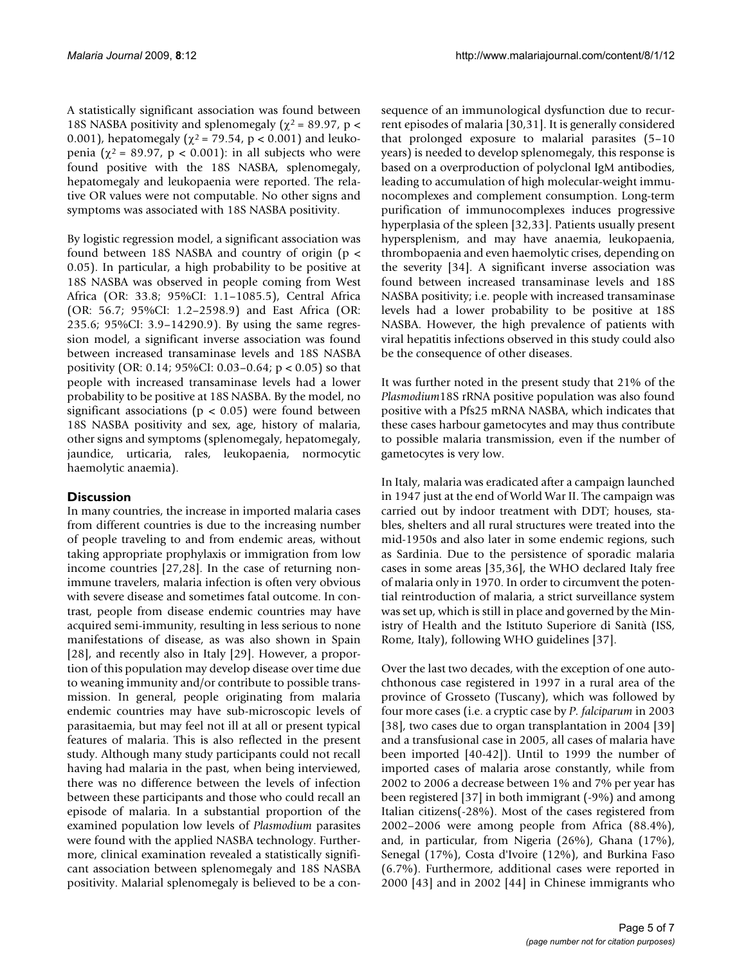A statistically significant association was found between 18S NASBA positivity and splenomegaly ( $\chi^2$  = 89.97, p < 0.001), hepatomegaly ( $\chi^2$  = 79.54, p < 0.001) and leukopenia ( $χ² = 89.97$ ,  $p < 0.001$ ): in all subjects who were found positive with the 18S NASBA, splenomegaly, hepatomegaly and leukopaenia were reported. The relative OR values were not computable. No other signs and symptoms was associated with 18S NASBA positivity.

By logistic regression model, a significant association was found between 18S NASBA and country of origin (p < 0.05). In particular, a high probability to be positive at 18S NASBA was observed in people coming from West Africa (OR: 33.8; 95%CI: 1.1–1085.5), Central Africa (OR: 56.7; 95%CI: 1.2–2598.9) and East Africa (OR: 235.6; 95%CI: 3.9–14290.9). By using the same regression model, a significant inverse association was found between increased transaminase levels and 18S NASBA positivity (OR: 0.14; 95%CI: 0.03–0.64; p < 0.05) so that people with increased transaminase levels had a lower probability to be positive at 18S NASBA. By the model, no significant associations ( $p < 0.05$ ) were found between 18S NASBA positivity and sex, age, history of malaria, other signs and symptoms (splenomegaly, hepatomegaly, jaundice, urticaria, rales, leukopaenia, normocytic haemolytic anaemia).

### **Discussion**

In many countries, the increase in imported malaria cases from different countries is due to the increasing number of people traveling to and from endemic areas, without taking appropriate prophylaxis or immigration from low income countries [27,28]. In the case of returning nonimmune travelers, malaria infection is often very obvious with severe disease and sometimes fatal outcome. In contrast, people from disease endemic countries may have acquired semi-immunity, resulting in less serious to none manifestations of disease, as was also shown in Spain [28], and recently also in Italy [29]. However, a proportion of this population may develop disease over time due to weaning immunity and/or contribute to possible transmission. In general, people originating from malaria endemic countries may have sub-microscopic levels of parasitaemia, but may feel not ill at all or present typical features of malaria. This is also reflected in the present study. Although many study participants could not recall having had malaria in the past, when being interviewed, there was no difference between the levels of infection between these participants and those who could recall an episode of malaria. In a substantial proportion of the examined population low levels of *Plasmodium* parasites were found with the applied NASBA technology. Furthermore, clinical examination revealed a statistically significant association between splenomegaly and 18S NASBA positivity. Malarial splenomegaly is believed to be a consequence of an immunological dysfunction due to recurrent episodes of malaria [30,31]. It is generally considered that prolonged exposure to malarial parasites (5–10 years) is needed to develop splenomegaly, this response is based on a overproduction of polyclonal IgM antibodies, leading to accumulation of high molecular-weight immunocomplexes and complement consumption. Long-term purification of immunocomplexes induces progressive hyperplasia of the spleen [32,33]. Patients usually present hypersplenism, and may have anaemia, leukopaenia, thrombopaenia and even haemolytic crises, depending on the severity [34]. A significant inverse association was found between increased transaminase levels and 18S NASBA positivity; i.e. people with increased transaminase levels had a lower probability to be positive at 18S NASBA. However, the high prevalence of patients with viral hepatitis infections observed in this study could also be the consequence of other diseases.

It was further noted in the present study that 21% of the *Plasmodium*18S rRNA positive population was also found positive with a Pfs25 mRNA NASBA, which indicates that these cases harbour gametocytes and may thus contribute to possible malaria transmission, even if the number of gametocytes is very low.

In Italy, malaria was eradicated after a campaign launched in 1947 just at the end of World War II. The campaign was carried out by indoor treatment with DDT; houses, stables, shelters and all rural structures were treated into the mid-1950s and also later in some endemic regions, such as Sardinia. Due to the persistence of sporadic malaria cases in some areas [35,36], the WHO declared Italy free of malaria only in 1970. In order to circumvent the potential reintroduction of malaria, a strict surveillance system was set up, which is still in place and governed by the Ministry of Health and the Istituto Superiore di Sanità (ISS, Rome, Italy), following WHO guidelines [37].

Over the last two decades, with the exception of one autochthonous case registered in 1997 in a rural area of the province of Grosseto (Tuscany), which was followed by four more cases (i.e. a cryptic case by *P. falciparum* in 2003 [38], two cases due to organ transplantation in 2004 [39] and a transfusional case in 2005, all cases of malaria have been imported [40-42]). Until to 1999 the number of imported cases of malaria arose constantly, while from 2002 to 2006 a decrease between 1% and 7% per year has been registered [37] in both immigrant (-9%) and among Italian citizens(-28%). Most of the cases registered from 2002–2006 were among people from Africa (88.4%), and, in particular, from Nigeria (26%), Ghana (17%), Senegal (17%), Costa d'Ivoire (12%), and Burkina Faso (6.7%). Furthermore, additional cases were reported in 2000 [43] and in 2002 [44] in Chinese immigrants who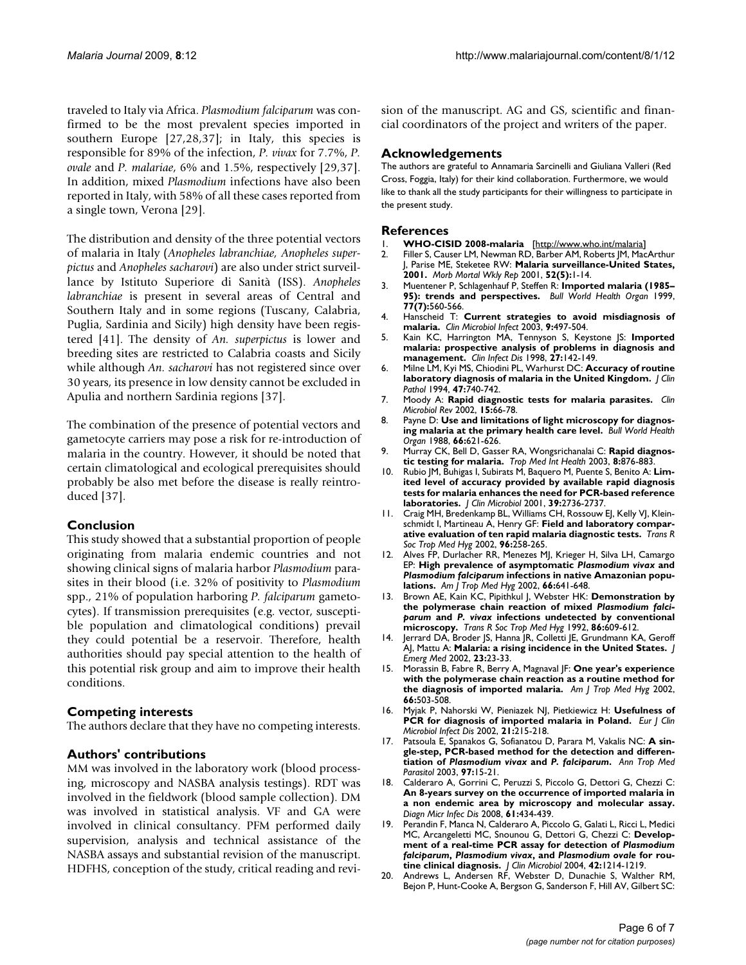traveled to Italy via Africa. *Plasmodium falciparum* was confirmed to be the most prevalent species imported in southern Europe [27,28,37]; in Italy, this species is responsible for 89% of the infection, *P. vivax* for 7.7%, *P. ovale* and *P. malariae*, 6% and 1.5%, respectively [29,37]. In addition, mixed *Plasmodium* infections have also been reported in Italy, with 58% of all these cases reported from a single town, Verona [29].

The distribution and density of the three potential vectors of malaria in Italy (*Anopheles labranchiae, Anopheles superpictus* and *Anopheles sacharovi*) are also under strict surveillance by Istituto Superiore di Sanità (ISS). *Anopheles labranchiae* is present in several areas of Central and Southern Italy and in some regions (Tuscany, Calabria, Puglia, Sardinia and Sicily) high density have been registered [41]. The density of *An. superpictus* is lower and breeding sites are restricted to Calabria coasts and Sicily while although *An. sacharovi* has not registered since over 30 years, its presence in low density cannot be excluded in Apulia and northern Sardinia regions [37].

The combination of the presence of potential vectors and gametocyte carriers may pose a risk for re-introduction of malaria in the country. However, it should be noted that certain climatological and ecological prerequisites should probably be also met before the disease is really reintroduced [37].

#### **Conclusion**

This study showed that a substantial proportion of people originating from malaria endemic countries and not showing clinical signs of malaria harbor *Plasmodium* parasites in their blood (i.e. 32% of positivity to *Plasmodium* spp., 21% of population harboring *P. falciparum* gametocytes). If transmission prerequisites (e.g. vector, susceptible population and climatological conditions) prevail they could potential be a reservoir. Therefore, health authorities should pay special attention to the health of this potential risk group and aim to improve their health conditions.

#### **Competing interests**

The authors declare that they have no competing interests.

#### **Authors' contributions**

MM was involved in the laboratory work (blood processing, microscopy and NASBA analysis testings). RDT was involved in the fieldwork (blood sample collection). DM was involved in statistical analysis. VF and GA were involved in clinical consultancy. PFM performed daily supervision, analysis and technical assistance of the NASBA assays and substantial revision of the manuscript. HDFHS, conception of the study, critical reading and revision of the manuscript. AG and GS, scientific and financial coordinators of the project and writers of the paper.

#### **Acknowledgements**

The authors are grateful to Annamaria Sarcinelli and Giuliana Valleri (Red Cross, Foggia, Italy) for their kind collaboration. Furthermore, we would like to thank all the study participants for their willingness to participate in the present study.

#### **References**

- 1. **WHO-CISID 2008-malaria** [[http://www.who.int/malaria\]](http://www.who.int/malaria)
- 2. Filler S, Causer LM, Newman RD, Barber AM, Roberts JM, MacArthur J, Parise ME, Steketee RW: **[Malaria surveillance-United States,](http://www.ncbi.nlm.nih.gov/entrez/query.fcgi?cmd=Retrieve&db=PubMed&dopt=Abstract&list_uids=12875252) [2001.](http://www.ncbi.nlm.nih.gov/entrez/query.fcgi?cmd=Retrieve&db=PubMed&dopt=Abstract&list_uids=12875252)** *Morb Mortal Wkly Rep* 2001, **52(5):**1-14.
- 3. Muentener P, Schlagenhauf P, Steffen R: **[Imported malaria \(1985–](http://www.ncbi.nlm.nih.gov/entrez/query.fcgi?cmd=Retrieve&db=PubMed&dopt=Abstract&list_uids=10444879) [95\): trends and perspectives.](http://www.ncbi.nlm.nih.gov/entrez/query.fcgi?cmd=Retrieve&db=PubMed&dopt=Abstract&list_uids=10444879)** *Bull World Health Organ* 1999, **77(7):**560-566.
- 4. Hanscheid T: **[Current strategies to avoid misdiagnosis of](http://www.ncbi.nlm.nih.gov/entrez/query.fcgi?cmd=Retrieve&db=PubMed&dopt=Abstract&list_uids=12848724) [malaria.](http://www.ncbi.nlm.nih.gov/entrez/query.fcgi?cmd=Retrieve&db=PubMed&dopt=Abstract&list_uids=12848724)** *Clin Microbiol Infect* 2003, **9:**497-504.
- 5. Kain KC, Harrington MA, Tennyson S, Keystone JS: **[Imported](http://www.ncbi.nlm.nih.gov/entrez/query.fcgi?cmd=Retrieve&db=PubMed&dopt=Abstract&list_uids=9675468) [malaria: prospective analysis of problems in diagnosis and](http://www.ncbi.nlm.nih.gov/entrez/query.fcgi?cmd=Retrieve&db=PubMed&dopt=Abstract&list_uids=9675468) [management.](http://www.ncbi.nlm.nih.gov/entrez/query.fcgi?cmd=Retrieve&db=PubMed&dopt=Abstract&list_uids=9675468)** *Clin Infect Dis* 1998, **27:**142-149.
- 6. Milne LM, Kyi MS, Chiodini PL, Warhurst DC: **[Accuracy of routine](http://www.ncbi.nlm.nih.gov/entrez/query.fcgi?cmd=Retrieve&db=PubMed&dopt=Abstract&list_uids=7962629) [laboratory diagnosis of malaria in the United Kingdom.](http://www.ncbi.nlm.nih.gov/entrez/query.fcgi?cmd=Retrieve&db=PubMed&dopt=Abstract&list_uids=7962629)** *J Clin Pathol* 1994, **47:**740-742.
- 7. Moody A: **[Rapid diagnostic tests for malaria parasites.](http://www.ncbi.nlm.nih.gov/entrez/query.fcgi?cmd=Retrieve&db=PubMed&dopt=Abstract&list_uids=11781267)** *Clin Microbiol Rev* 2002, **15:**66-78.
- 8. Payne D: **[Use and limitations of light microscopy for diagnos](http://www.ncbi.nlm.nih.gov/entrez/query.fcgi?cmd=Retrieve&db=PubMed&dopt=Abstract&list_uids=2463112)[ing malaria at the primary health care level.](http://www.ncbi.nlm.nih.gov/entrez/query.fcgi?cmd=Retrieve&db=PubMed&dopt=Abstract&list_uids=2463112)** *Bull World Health Organ* 1988, **66:**621-626.
- 9. Murray CK, Bell D, Gasser RA, Wongsrichanalai C: **[Rapid diagnos](http://www.ncbi.nlm.nih.gov/entrez/query.fcgi?cmd=Retrieve&db=PubMed&dopt=Abstract&list_uids=14516298)[tic testing for malaria.](http://www.ncbi.nlm.nih.gov/entrez/query.fcgi?cmd=Retrieve&db=PubMed&dopt=Abstract&list_uids=14516298)** *Trop Med Int Health* 2003, **8:**876-883.
- 10. Rubio JM, Buhigas I, Subirats M, Baquero M, Puente S, Benito A: **[Lim](http://www.ncbi.nlm.nih.gov/entrez/query.fcgi?cmd=Retrieve&db=PubMed&dopt=Abstract&list_uids=11427610)ited level of accuracy provided by available rapid diagnosis [tests for malaria enhances the need for PCR-based reference](http://www.ncbi.nlm.nih.gov/entrez/query.fcgi?cmd=Retrieve&db=PubMed&dopt=Abstract&list_uids=11427610) [laboratories.](http://www.ncbi.nlm.nih.gov/entrez/query.fcgi?cmd=Retrieve&db=PubMed&dopt=Abstract&list_uids=11427610)** *J Clin Microbiol* 2001, **39:**2736-2737.
- 11. Craig MH, Bredenkamp BL, Williams CH, Rossouw EJ, Kelly VJ, Kleinschmidt I, Martineau A, Henry GF: **[Field and laboratory compar](http://www.ncbi.nlm.nih.gov/entrez/query.fcgi?cmd=Retrieve&db=PubMed&dopt=Abstract&list_uids=12174773)[ative evaluation of ten rapid malaria diagnostic tests.](http://www.ncbi.nlm.nih.gov/entrez/query.fcgi?cmd=Retrieve&db=PubMed&dopt=Abstract&list_uids=12174773)** *Trans R Soc Trop Med Hyg* 2002, **96:**258-265.
- <span id="page-5-0"></span>12. Alves FP, Durlacher RR, Menezes MJ, Krieger H, Silva LH, Camargo EP: **High prevalence of asymptomatic** *Plasmodium vivax* **and** *Plasmodium falciparum* **[infections in native Amazonian popu](http://www.ncbi.nlm.nih.gov/entrez/query.fcgi?cmd=Retrieve&db=PubMed&dopt=Abstract&list_uids=12224567)[lations.](http://www.ncbi.nlm.nih.gov/entrez/query.fcgi?cmd=Retrieve&db=PubMed&dopt=Abstract&list_uids=12224567)** *Am J Trop Med Hyg* 2002, **66:**641-648.
- 13. Brown AE, Kain KC, Pipithkul J, Webster HK: **Demonstration by the polymerase chain reaction of mixed** *Plasmodium falciparum* **and** *P. vivax* **[infections undetected by conventional](http://www.ncbi.nlm.nih.gov/entrez/query.fcgi?cmd=Retrieve&db=PubMed&dopt=Abstract&list_uids=1287912) [microscopy.](http://www.ncbi.nlm.nih.gov/entrez/query.fcgi?cmd=Retrieve&db=PubMed&dopt=Abstract&list_uids=1287912)** *Trans R Soc Trop Med Hyg* 1992, **86:**609-612.
- 14. Jerrard DA, Broder JS, Hanna JR, Colletti JE, Grundmann KA, Geroff AJ, Mattu A: **[Malaria: a rising incidence in the United States.](http://www.ncbi.nlm.nih.gov/entrez/query.fcgi?cmd=Retrieve&db=PubMed&dopt=Abstract&list_uids=12217468)** *J Emerg Med* 2002, **23:**23-33.
- 15. Morassin B, Fabre R, Berry A, Magnaval JF: **[One year's experience](http://www.ncbi.nlm.nih.gov/entrez/query.fcgi?cmd=Retrieve&db=PubMed&dopt=Abstract&list_uids=12201583) [with the polymerase chain reaction as a routine method for](http://www.ncbi.nlm.nih.gov/entrez/query.fcgi?cmd=Retrieve&db=PubMed&dopt=Abstract&list_uids=12201583) [the diagnosis of imported malaria.](http://www.ncbi.nlm.nih.gov/entrez/query.fcgi?cmd=Retrieve&db=PubMed&dopt=Abstract&list_uids=12201583)** *Am J Trop Med Hyg* 2002, **66:**503-508.
- 16. Myjak P, Nahorski W, Pieniazek NJ, Pietkiewicz H: **[Usefulness of](http://www.ncbi.nlm.nih.gov/entrez/query.fcgi?cmd=Retrieve&db=PubMed&dopt=Abstract&list_uids=11957025) [PCR for diagnosis of imported malaria in Poland.](http://www.ncbi.nlm.nih.gov/entrez/query.fcgi?cmd=Retrieve&db=PubMed&dopt=Abstract&list_uids=11957025)** *Eur J Clin Microbiol Infect Dis* 2002, **21:**215-218.
- 17. Patsoula E, Spanakos G, Sofianatou D, Parara M, Vakalis NC: **A single-step, PCR-based method for the detection and differentiation of** *Plasmodium vivax* **and** *P. falciparum***[.](http://www.ncbi.nlm.nih.gov/entrez/query.fcgi?cmd=Retrieve&db=PubMed&dopt=Abstract&list_uids=12662418)** *Ann Trop Med Parasitol* 2003, **97:**15-21.
- 18. Calderaro A, Gorrini C, Peruzzi S, Piccolo G, Dettori G, Chezzi C: **An 8-years survey on the occurrence of imported malaria in a non endemic area by microscopy and molecular assay.** *Diagn Micr Infec Dis* 2008, **61:**434-439.
- 19. Perandin F, Manca N, Calderaro A, Piccolo G, Galati L, Ricci L, Medici MC, Arcangeletti MC, Snounou G, Dettori G, Chezzi C: **Development of a real-time PCR assay for detection of** *Plasmodium falciparum***,** *Plasmodium vivax***, and** *Plasmodium ovale* **[for rou](http://www.ncbi.nlm.nih.gov/entrez/query.fcgi?cmd=Retrieve&db=PubMed&dopt=Abstract&list_uids=15004078)[tine clinical diagnosis.](http://www.ncbi.nlm.nih.gov/entrez/query.fcgi?cmd=Retrieve&db=PubMed&dopt=Abstract&list_uids=15004078)** *J Clin Microbiol* 2004, **42:**1214-1219.
- 20. Andrews L, Andersen RF, Webster D, Dunachie S, Walther RM, Bejon P, Hunt-Cooke A, Bergson G, Sanderson F, Hill AV, Gilbert SC: